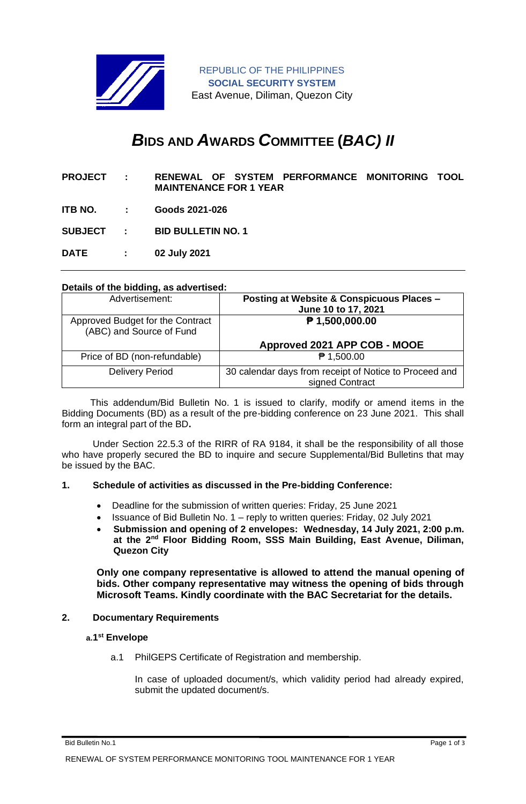

REPUBLIC OF THE PHILIPPINES **SOCIAL SECURITY SYSTEM** East Avenue, Diliman, Quezon City

# *B***IDS AND** *A***WARDS** *C***OMMITTEE (***BAC) II*

- **PROJECT : RENEWAL OF SYSTEM PERFORMANCE MONITORING TOOL MAINTENANCE FOR 1 YEAR**
- **ITB NO. : Goods 2021-026**

**SUBJECT : BID BULLETIN NO. 1**

**DATE : 02 July 2021**

#### **Details of the bidding, as advertised:**

| Advertisement:                                               | <b>Posting at Website &amp; Conspicuous Places -</b><br>June 10 to 17, 2021 |
|--------------------------------------------------------------|-----------------------------------------------------------------------------|
| Approved Budget for the Contract<br>(ABC) and Source of Fund | $P$ 1,500,000.00                                                            |
|                                                              | Approved 2021 APP COB - MOOE                                                |
| Price of BD (non-refundable)                                 | ₱ 1,500.00                                                                  |
| <b>Delivery Period</b>                                       | 30 calendar days from receipt of Notice to Proceed and<br>signed Contract   |

 This addendum/Bid Bulletin No. 1 is issued to clarify, modify or amend items in the Bidding Documents (BD) as a result of the pre-bidding conference on 23 June 2021. This shall form an integral part of the BD**.**

Under Section 22.5.3 of the RIRR of RA 9184, it shall be the responsibility of all those who have properly secured the BD to inquire and secure Supplemental/Bid Bulletins that may be issued by the BAC.

#### **1. Schedule of activities as discussed in the Pre-bidding Conference:**

- Deadline for the submission of written queries: Friday, 25 June 2021
- Issuance of Bid Bulletin No. 1 reply to written queries: Friday, 02 July 2021
- **Submission and opening of 2 envelopes: Wednesday, 14 July 2021, 2:00 p.m. at the 2nd Floor Bidding Room, SSS Main Building, East Avenue, Diliman, Quezon City**

**Only one company representative is allowed to attend the manual opening of bids. Other company representative may witness the opening of bids through Microsoft Teams. Kindly coordinate with the BAC Secretariat for the details.**

#### **2. Documentary Requirements**

#### **a.1 st Envelope**

a.1 PhilGEPS Certificate of Registration and membership.

In case of uploaded document/s, which validity period had already expired, submit the updated document/s.

Bid Bulletin No.1 Page 1 of 3

RENEWAL OF SYSTEM PERFORMANCE MONITORING TOOL MAINTENANCE FOR 1 YEAR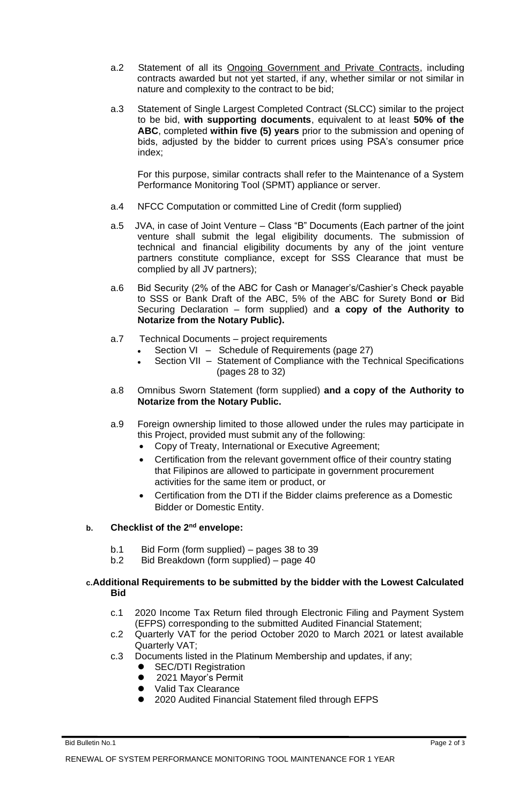- a.2 Statement of all its Ongoing Government and Private Contracts, including contracts awarded but not yet started, if any, whether similar or not similar in nature and complexity to the contract to be bid;
- a.3 Statement of Single Largest Completed Contract (SLCC) similar to the project to be bid, **with supporting documents**, equivalent to at least **50% of the ABC**, completed **within five (5) years** prior to the submission and opening of bids, adjusted by the bidder to current prices using PSA's consumer price index;

For this purpose, similar contracts shall refer to the Maintenance of a System Performance Monitoring Tool (SPMT) appliance or server.

- a.4 NFCC Computation or committed Line of Credit (form supplied)
- a.5 JVA, in case of Joint Venture Class "B" Documents (Each partner of the joint venture shall submit the legal eligibility documents. The submission of technical and financial eligibility documents by any of the joint venture partners constitute compliance, except for SSS Clearance that must be complied by all JV partners);
- a.6 Bid Security (2% of the ABC for Cash or Manager's/Cashier's Check payable to SSS or Bank Draft of the ABC, 5% of the ABC for Surety Bond **or** Bid Securing Declaration – form supplied) and **a copy of the Authority to Notarize from the Notary Public).**
- a.7 Technical Documents project requirements
	- Section VI Schedule of Requirements (page 27)
	- Section VII Statement of Compliance with the Technical Specifications (pages 28 to 32)
- a.8 Omnibus Sworn Statement (form supplied) **and a copy of the Authority to Notarize from the Notary Public.**
- a.9 Foreign ownership limited to those allowed under the rules may participate in this Project, provided must submit any of the following:
	- Copy of Treaty, International or Executive Agreement;
	- Certification from the relevant government office of their country stating that Filipinos are allowed to participate in government procurement activities for the same item or product, or
	- Certification from the DTI if the Bidder claims preference as a Domestic Bidder or Domestic Entity.

## **b. Checklist of the 2nd envelope:**

- b.1 Bid Form (form supplied) pages 38 to 39
- b.2 Bid Breakdown (form supplied) page 40

### **c.Additional Requirements to be submitted by the bidder with the Lowest Calculated Bid**

- c.1 2020 Income Tax Return filed through Electronic Filing and Payment System (EFPS) corresponding to the submitted Audited Financial Statement;
- c.2 Quarterly VAT for the period October 2020 to March 2021 or latest available Quarterly VAT;
- c.3 Documents listed in the Platinum Membership and updates, if any;
	- **SEC/DTI Registration**
	- 2021 Mayor's Permit
	- ⚫ Valid Tax Clearance
	- ⚫ 2020 Audited Financial Statement filed through EFPS

Bid Bulletin No.1 Page 2 of 3